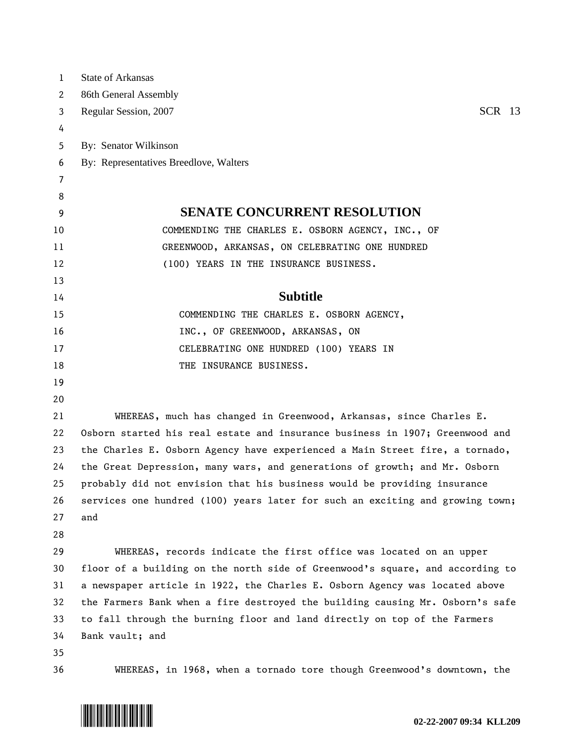| 1              | <b>State of Arkansas</b>                                                      |
|----------------|-------------------------------------------------------------------------------|
| 2              | 86th General Assembly                                                         |
| 3              | <b>SCR</b> 13<br>Regular Session, 2007                                        |
| 4              |                                                                               |
| 5              | By: Senator Wilkinson                                                         |
| 6              | By: Representatives Breedlove, Walters                                        |
| $\overline{7}$ |                                                                               |
| 8              |                                                                               |
| 9              | <b>SENATE CONCURRENT RESOLUTION</b>                                           |
| 10             | COMMENDING THE CHARLES E. OSBORN AGENCY, INC., OF                             |
| 11             | GREENWOOD, ARKANSAS, ON CELEBRATING ONE HUNDRED                               |
| 12             | (100) YEARS IN THE INSURANCE BUSINESS.                                        |
| 13             |                                                                               |
| 14             | <b>Subtitle</b>                                                               |
| 15             | COMMENDING THE CHARLES E. OSBORN AGENCY,                                      |
| 16             | INC., OF GREENWOOD, ARKANSAS, ON                                              |
| 17             | CELEBRATING ONE HUNDRED (100) YEARS IN                                        |
| 18             | THE INSURANCE BUSINESS.                                                       |
| 19             |                                                                               |
| 20             |                                                                               |
| 21             | WHEREAS, much has changed in Greenwood, Arkansas, since Charles E.            |
| 22             | Osborn started his real estate and insurance business in 1907; Greenwood and  |
| 23             | the Charles E. Osborn Agency have experienced a Main Street fire, a tornado,  |
| 24             | the Great Depression, many wars, and generations of growth; and Mr. Osborn    |
| 25             | probably did not envision that his business would be providing insurance      |
| 26             | services one hundred (100) years later for such an exciting and growing town; |
| 27             | and                                                                           |
| 28             |                                                                               |
| 29             | WHEREAS, records indicate the first office was located on an upper            |
| 30             | floor of a building on the north side of Greenwood's square, and according to |
| 31             | a newspaper article in 1922, the Charles E. Osborn Agency was located above   |
| 32             | the Farmers Bank when a fire destroyed the building causing Mr. Osborn's safe |
| 33             | to fall through the burning floor and land directly on top of the Farmers     |
| 34             | Bank vault; and                                                               |
| 35             |                                                                               |
| 36             | WHEREAS, in 1968, when a tornado tore though Greenwood's downtown, the        |